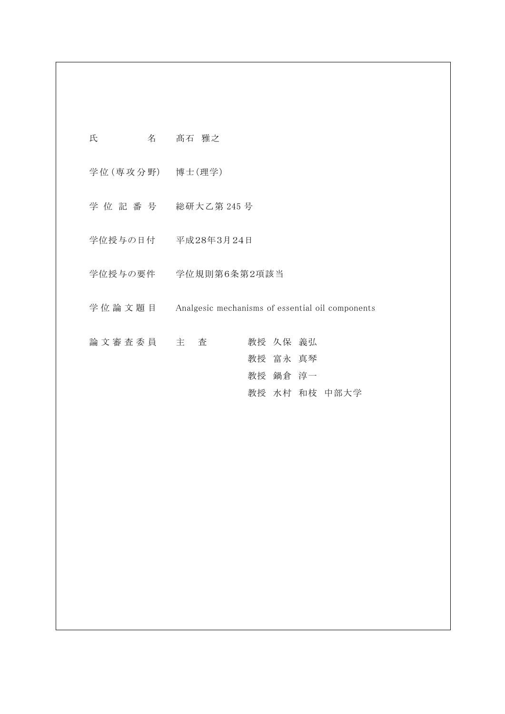| 氏<br>名 こうしょう     | 髙石 雅之                                            |
|------------------|--------------------------------------------------|
| 学位 (専攻分野) 博士(理学) |                                                  |
|                  | 学位記番号 総研大乙第245号                                  |
|                  | 学位授与の日付 平成28年3月24日                               |
|                  | 学位授与の要件  学位規則第6条第2項該当                            |
| 学 位 論 文 題 目      | Analgesic mechanisms of essential oil components |
| 論文審査委員 主 査       | 教授 久保 義弘<br>教授 富永 真琴<br>教授 鍋倉 淳一                 |
|                  | 教授 水村 和枝 中部大学                                    |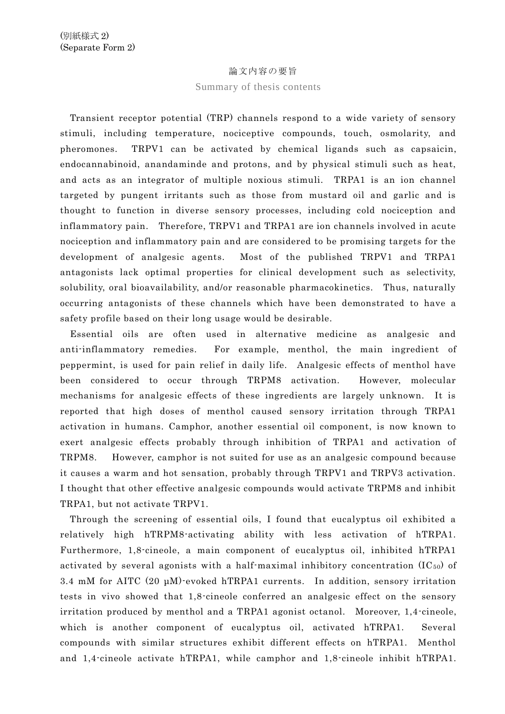## 論文内容の要旨

## Summary of thesis contents

Transient receptor potential (TRP) channels respond to a wide variety of sensory stimuli, including temperature, nociceptive compounds, touch, osmolarity, and pheromones. TRPV1 can be activated by chemical ligands such as capsaicin, endocannabinoid, anandaminde and protons, and by physical stimuli such as heat, and acts as an integrator of multiple noxious stimuli. TRPA1 is an ion channel targeted by pungent irritants such as those from mustard oil and garlic and is thought to function in diverse sensory processes, including cold nociception and inflammatory pain. Therefore, TRPV1 and TRPA1 are ion channels involved in acute nociception and inflammatory pain and are considered to be promising targets for the development of analgesic agents. Most of the published TRPV1 and TRPA1 antagonists lack optimal properties for clinical development such as selectivity, solubility, oral bioavailability, and/or reasonable pharmacokinetics. Thus, naturally occurring antagonists of these channels which have been demonstrated to have a safety profile based on their long usage would be desirable.

Essential oils are often used in alternative medicine as analgesic and anti-inflammatory remedies. For example, menthol, the main ingredient of peppermint, is used for pain relief in daily life. Analgesic effects of menthol have been considered to occur through TRPM8 activation. However, molecular mechanisms for analgesic effects of these ingredients are largely unknown. It is reported that high doses of menthol caused sensory irritation through TRPA1 activation in humans. Camphor, another essential oil component, is now known to exert analgesic effects probably through inhibition of TRPA1 and activation of TRPM8. However, camphor is not suited for use as an analgesic compound because it causes a warm and hot sensation, probably through TRPV1 and TRPV3 activation. I thought that other effective analgesic compounds would activate TRPM8 and inhibit TRPA1, but not activate TRPV1.

 Through the screening of essential oils, I found that eucalyptus oil exhibited a relatively high hTRPM8-activating ability with less activation of hTRPA1. Furthermore, 1,8-cineole, a main component of eucalyptus oil, inhibited hTRPA1 activated by several agonists with a half-maximal inhibitory concentration  $(IC_{50})$  of 3.4 mM for AITC (20 µM)-evoked hTRPA1 currents. In addition, sensory irritation tests in vivo showed that 1,8-cineole conferred an analgesic effect on the sensory irritation produced by menthol and a TRPA1 agonist octanol. Moreover, 1,4-cineole, which is another component of eucalyptus oil, activated hTRPA1. Several compounds with similar structures exhibit different effects on hTRPA1. Menthol and 1,4-cineole activate hTRPA1, while camphor and 1,8-cineole inhibit hTRPA1.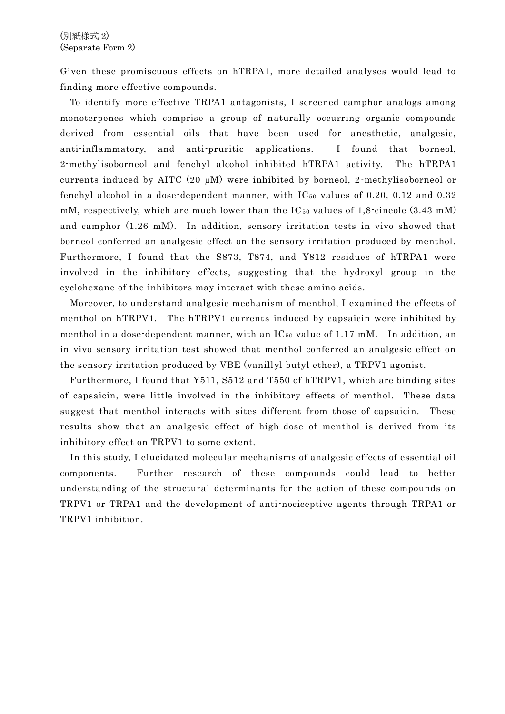Given these promiscuous effects on hTRPA1, more detailed analyses would lead to finding more effective compounds.

To identify more effective TRPA1 antagonists, I screened camphor analogs among monoterpenes which comprise a group of naturally occurring organic compounds derived from essential oils that have been used for anesthetic, analgesic, anti-inflammatory, and anti-pruritic applications. I found that borneol, 2-methylisoborneol and fenchyl alcohol inhibited hTRPA1 activity. The hTRPA1 currents induced by AITC (20 µM) were inhibited by borneol, 2-methylisoborneol or fenchyl alcohol in a dose-dependent manner, with  $IC_{50}$  values of 0.20, 0.12 and 0.32 mM, respectively, which are much lower than the  $\text{IC}_{50}$  values of 1,8-cineole (3.43 mM) and camphor (1.26 mM). In addition, sensory irritation tests in vivo showed that borneol conferred an analgesic effect on the sensory irritation produced by menthol. Furthermore, I found that the S873, T874, and Y812 residues of hTRPA1 were involved in the inhibitory effects, suggesting that the hydroxyl group in the cyclohexane of the inhibitors may interact with these amino acids.

Moreover, to understand analgesic mechanism of menthol, I examined the effects of menthol on hTRPV1. The hTRPV1 currents induced by capsaicin were inhibited by menthol in a dose-dependent manner, with an  $IC_{50}$  value of 1.17 mM. In addition, an in vivo sensory irritation test showed that menthol conferred an analgesic effect on the sensory irritation produced by VBE (vanillyl butyl ether), a TRPV1 agonist.

 Furthermore, I found that Y511, S512 and T550 of hTRPV1, which are binding sites of capsaicin, were little involved in the inhibitory effects of menthol. These data suggest that menthol interacts with sites different from those of capsaicin. These results show that an analgesic effect of high-dose of menthol is derived from its inhibitory effect on TRPV1 to some extent.

In this study, I elucidated molecular mechanisms of analgesic effects of essential oil components. Further research of these compounds could lead to better understanding of the structural determinants for the action of these compounds on TRPV1 or TRPA1 and the development of anti-nociceptive agents through TRPA1 or TRPV1 inhibition.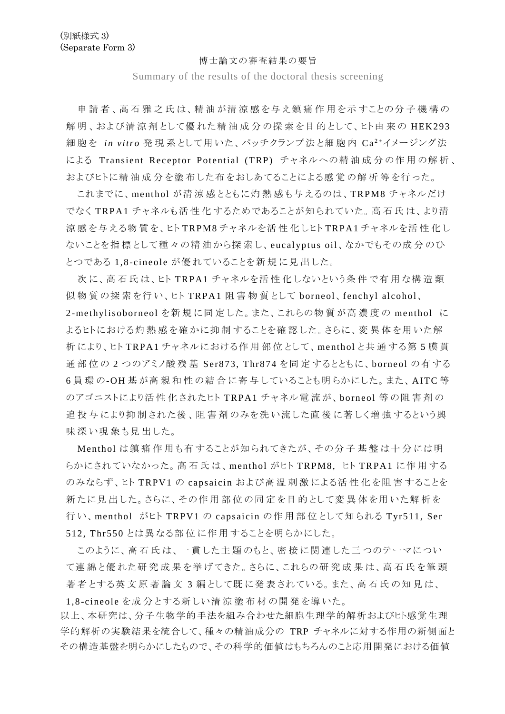## 博士論文の審査結果の要旨

Summary of the results of the doctoral thesis screening

申 請 者 、高 石 雅 之 氏 は、精 油 が清 涼 感 を与 え鎮 痛 作 用 を示 すことの分 子 機 構 の 解明、および清涼剤として優れた精油成分の探索を目的として、ヒト由来の HEK293 細胞を in vitro 発現系として用いた、パッチクランプ法と細胞内 Ca<sup>2+</sup>イメージング法 による Transient Receptor Potential (TRP) チャネルへの精油成分の作用の解析、 およびヒトに精 油 成 分 を塗 布 した布 をおしあてることによる感 覚 の解 析 等 を行 った。

これまでに、menthol が清 涼 感 とともに灼 熱 感 も与 えるのは、TRPM8 チャネルだけ でなく T RPA1 チャネルも活 性 化 するためであることが知 られていた。高 石 氏 は、より清 涼 感 を与 える物 質 を、ヒト TRPM8 チャネルを活 性 化 しヒト TRPA1 チャネルを活 性 化 し ないことを指 標 として種 々の精 油 から探 索 し、eucalyptus oil、なかでもその成 分 のひ とつである 1,8 -cineole が優 れていることを新 規 に見 出 した。

次に、高石氏は、ヒト TRPA1 チャネルを活性化しないという条件で有用な構造類 似 物 質 の探 索 を行 い、ヒト T RPA1 阻 害 物 質 として borneol、fenchyl alcohol、

2-methylisoborneol を新 規 に同 定 した。また、これらの物 質 が高 濃 度 の menthol に よるヒトにおける灼 熱 感 を確 かに抑 制 することを確 認 した。さらに、変 異 体 を用 いた解 析 により、ヒト TRPA1 チャネルにおける作 用 部 位 として、menthol と共 通 する第 5 膜 貫 通部位の 2 つのアミノ酸 残 基 Ser873, Thr874 を同 定 するとともに、borneol の有 する 6員環の-OH基が高親和性の結合に寄与していることも明らかにした。また、AITC等 のアゴニストにより活 性 化 されたヒト T RPA1 チャネル電 流 が、borneol 等 の阻 害 剤 の 追 投 与 により抑 制 された後 、阻 害 剤 のみを洗 い流 した直 後 に著 しく増 強 するという興 味 深 い現 象 も見 出 した。

Menthol は鎮 痛 作 用 も有 することが知 られてきたが、その分 子 基 盤 は十 分 には明 らかにされていなかった。高石氏は、menthol がヒト TRPM8, ヒト TRPA1 に作用する のみならず、ヒト T RPV 1 の capsaicin および高 温 刺 激 による活 性 化 を阻 害 することを 新 たに見 出 した。さらに、その作 用 部 位 の同 定 を目 的 として変 異 体 を用 いた解 析 を 行い、menthol がヒト TRPV1 の capsaicin の作用部位として知られる Tyr511, Ser 512, T hr550 とは異 なる部 位 に作 用 することを明 らかにした。

このように、高 石 氏 は、一 貫 した主 題 のもと、密 接 に関 連 した三 つのテーマについ て連 綿 と優 れた研 究 成 果 を挙 げてきた。さらに、これらの研 究 成 果 は、高 石 氏 を筆 頭 著 者 とする英 文 原 著 論 文 3 編 として既 に発 表 されている。また、高 石 氏 の知 見 は、

1,8-cineole を成 分 とする新 しい清 涼 塗 布 材 の開 発 を導 いた。

以上、本研究は、分子生物学的手法を組み合わせた細胞生理学的解析およびヒト感覚生理 学的解析の実験結果を統合して、種々の精油成分の TRP チャネルに対する作用の新側面と その構造基盤を明らかにしたもので、その科学的価値はもちろんのこと応用開発における価値